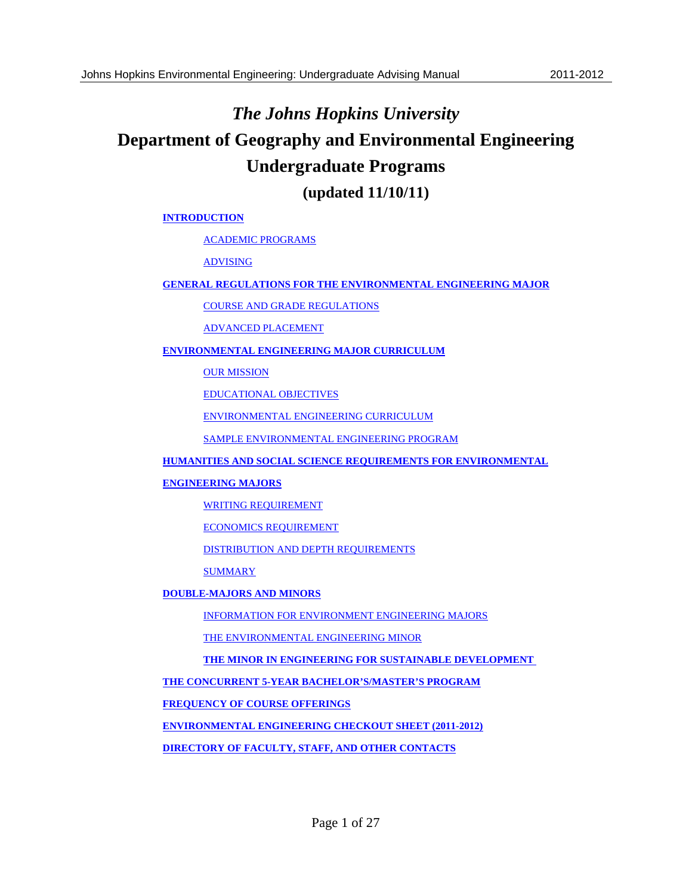# *The Johns Hopkins University* **Department of Geography and Environmental Engineering Undergraduate Programs**

**(updated 11/10/11)** 

#### **INTRODUCTION**

ACADEMIC PROGRAMS

ADVISING

#### **GENERAL REGULATIONS FOR THE ENVIRONMENTAL ENGINEERING MAJOR**

COURSE AND GRADE REGULATIONS

ADVANCED PLACEMENT

#### **ENVIRONMENTAL ENGINEERING MAJOR CURRICULUM**

**OUR MISSION** 

EDUCATIONAL OBJECTIVES

ENVIRONMENTAL ENGINEERING CURRICULUM

SAMPLE ENVIRONMENTAL ENGINEERING PROGRAM

**HUMANITIES AND SOCIAL SCIENCE REQUIREMENTS FOR ENVIRONMENTAL** 

#### **ENGINEERING MAJORS**

WRITING REQUIREMENT

ECONOMICS REQUIREMENT

DISTRIBUTION AND DEPTH REQUIREMENTS

**SUMMARY** 

#### **DOUBLE-MAJORS AND MINORS**

INFORMATION FOR ENVIRONMENT ENGINEERING MAJORS

THE ENVIRONMENTAL ENGINEERING MINOR

**THE MINOR IN ENGINEERING FOR SUSTAINABLE DEVELOPMENT** 

**THE CONCURRENT 5-YEAR BACHELOR'S/MASTER'S PROGRAM**

**FREQUENCY OF COURSE OFFERINGS**

**ENVIRONMENTAL ENGINEERING CHECKOUT SHEET (2011-2012)** 

**DIRECTORY OF FACULTY, STAFF, AND OTHER CONTACTS**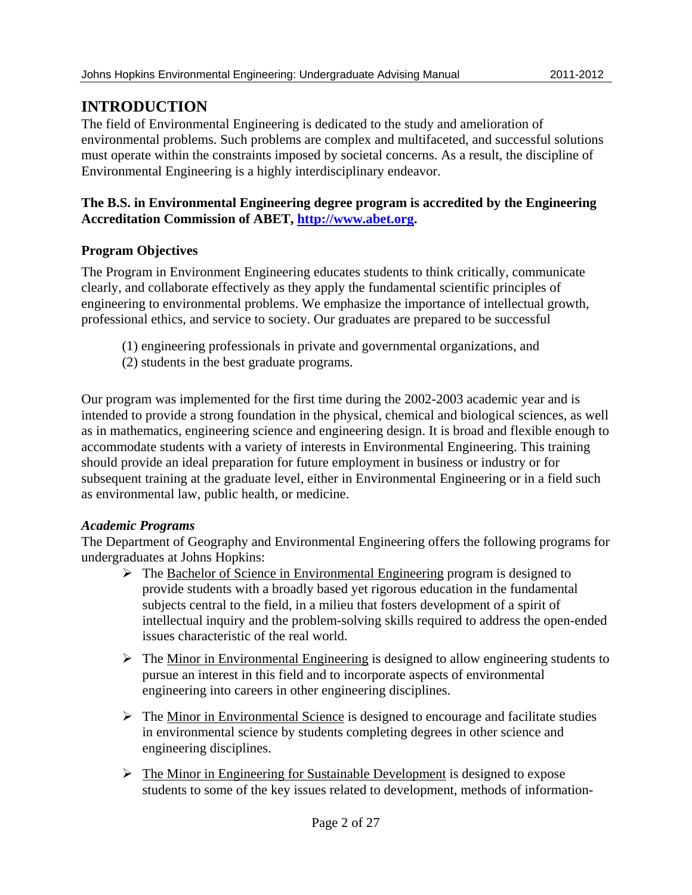## **INTRODUCTION**

The field of Environmental Engineering is dedicated to the study and amelioration of environmental problems. Such problems are complex and multifaceted, and successful solutions must operate within the constraints imposed by societal concerns. As a result, the discipline of Environmental Engineering is a highly interdisciplinary endeavor.

### **The B.S. in Environmental Engineering degree program is accredited by the Engineering Accreditation Commission of ABET, http://www.abet.org.**

### **Program Objectives**

The Program in Environment Engineering educates students to think critically, communicate clearly, and collaborate effectively as they apply the fundamental scientific principles of engineering to environmental problems. We emphasize the importance of intellectual growth, professional ethics, and service to society. Our graduates are prepared to be successful

- (1) engineering professionals in private and governmental organizations, and
- (2) students in the best graduate programs.

Our program was implemented for the first time during the 2002-2003 academic year and is intended to provide a strong foundation in the physical, chemical and biological sciences, as well as in mathematics, engineering science and engineering design. It is broad and flexible enough to accommodate students with a variety of interests in Environmental Engineering. This training should provide an ideal preparation for future employment in business or industry or for subsequent training at the graduate level, either in Environmental Engineering or in a field such as environmental law, public health, or medicine.

### *Academic Programs*

The Department of Geography and Environmental Engineering offers the following programs for undergraduates at Johns Hopkins:

- $\triangleright$  The Bachelor of Science in Environmental Engineering program is designed to provide students with a broadly based yet rigorous education in the fundamental subjects central to the field, in a milieu that fosters development of a spirit of intellectual inquiry and the problem-solving skills required to address the open-ended issues characteristic of the real world.
- $\triangleright$  The Minor in Environmental Engineering is designed to allow engineering students to pursue an interest in this field and to incorporate aspects of environmental engineering into careers in other engineering disciplines.
- $\triangleright$  The Minor in Environmental Science is designed to encourage and facilitate studies in environmental science by students completing degrees in other science and engineering disciplines.
- $\triangleright$  The Minor in Engineering for Sustainable Development is designed to expose students to some of the key issues related to development, methods of information-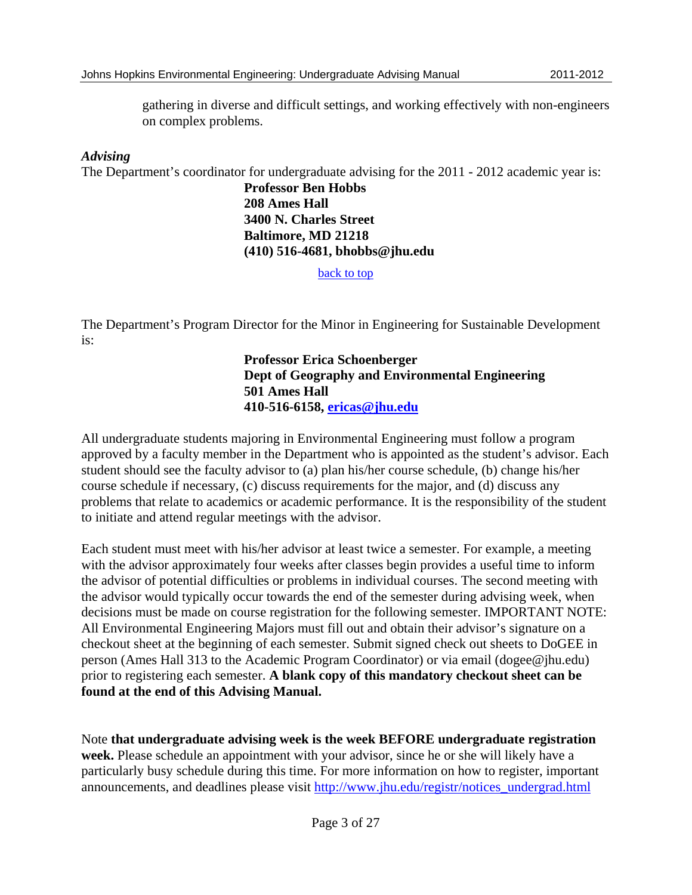gathering in diverse and difficult settings, and working effectively with non-engineers on complex problems.

### *Advising*

The Department's coordinator for undergraduate advising for the 2011 - 2012 academic year is:

 **Professor Ben Hobbs 208 Ames Hall 3400 N. Charles Street Baltimore, MD 21218 (410) 516-4681, bhobbs@jhu.edu** 

back to top

The Department's Program Director for the Minor in Engineering for Sustainable Development is:

> **Professor Erica Schoenberger Dept of Geography and Environmental Engineering 501 Ames Hall 410-516-6158, ericas@jhu.edu**

All undergraduate students majoring in Environmental Engineering must follow a program approved by a faculty member in the Department who is appointed as the student's advisor. Each student should see the faculty advisor to (a) plan his/her course schedule, (b) change his/her course schedule if necessary, (c) discuss requirements for the major, and (d) discuss any problems that relate to academics or academic performance. It is the responsibility of the student to initiate and attend regular meetings with the advisor.

Each student must meet with his/her advisor at least twice a semester. For example, a meeting with the advisor approximately four weeks after classes begin provides a useful time to inform the advisor of potential difficulties or problems in individual courses. The second meeting with the advisor would typically occur towards the end of the semester during advising week, when decisions must be made on course registration for the following semester. IMPORTANT NOTE: All Environmental Engineering Majors must fill out and obtain their advisor's signature on a checkout sheet at the beginning of each semester. Submit signed check out sheets to DoGEE in person (Ames Hall 313 to the Academic Program Coordinator) or via email (dogee@jhu.edu) prior to registering each semester. **A blank copy of this mandatory checkout sheet can be found at the end of this Advising Manual.** 

Note **that undergraduate advising week is the week BEFORE undergraduate registration week.** Please schedule an appointment with your advisor, since he or she will likely have a particularly busy schedule during this time. For more information on how to register, important announcements, and deadlines please visit http://www.jhu.edu/registr/notices\_undergrad.html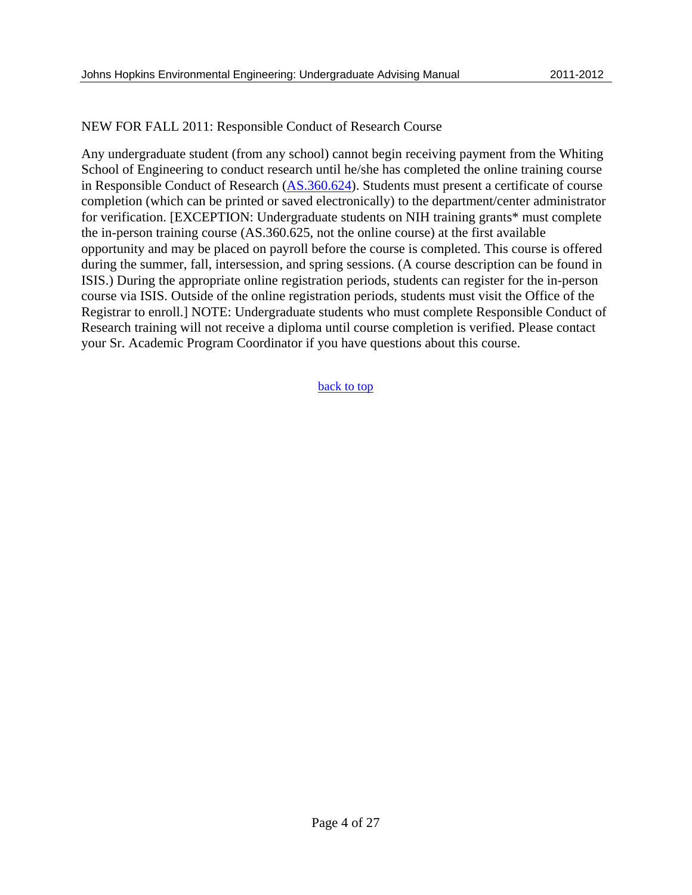### NEW FOR FALL 2011: Responsible Conduct of Research Course

Any undergraduate student (from any school) cannot begin receiving payment from the Whiting School of Engineering to conduct research until he/she has completed the online training course in Responsible Conduct of Research (AS.360.624). Students must present a certificate of course completion (which can be printed or saved electronically) to the department/center administrator for verification. [EXCEPTION: Undergraduate students on NIH training grants\* must complete the in-person training course (AS.360.625, not the online course) at the first available opportunity and may be placed on payroll before the course is completed. This course is offered during the summer, fall, intersession, and spring sessions. (A course description can be found in ISIS.) During the appropriate online registration periods, students can register for the in-person course via ISIS. Outside of the online registration periods, students must visit the Office of the Registrar to enroll.] NOTE: Undergraduate students who must complete Responsible Conduct of Research training will not receive a diploma until course completion is verified. Please contact your Sr. Academic Program Coordinator if you have questions about this course.

#### back to top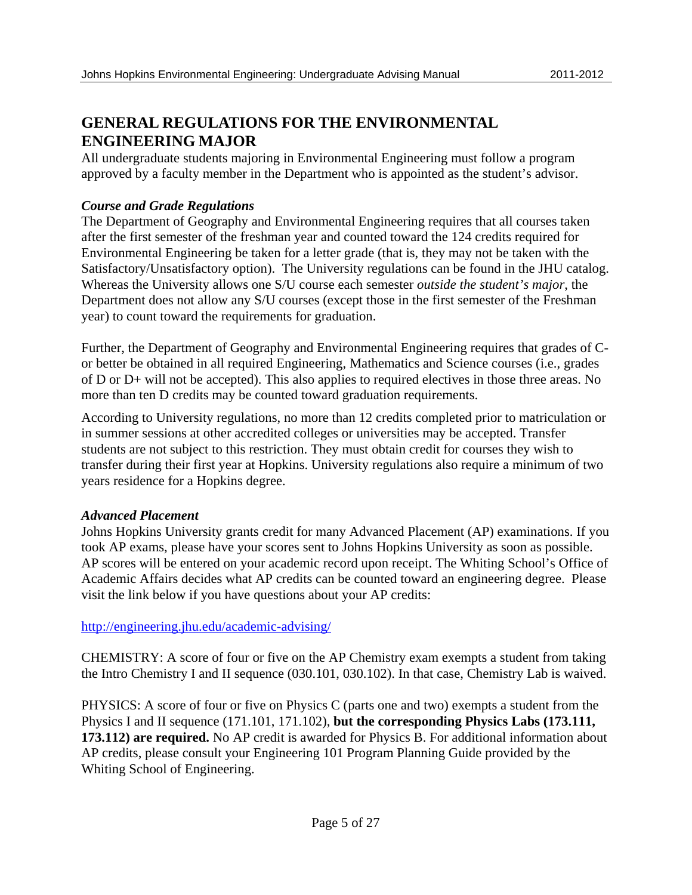## **GENERAL REGULATIONS FOR THE ENVIRONMENTAL ENGINEERING MAJOR**

All undergraduate students majoring in Environmental Engineering must follow a program approved by a faculty member in the Department who is appointed as the student's advisor.

### *Course and Grade Regulations*

The Department of Geography and Environmental Engineering requires that all courses taken after the first semester of the freshman year and counted toward the 124 credits required for Environmental Engineering be taken for a letter grade (that is, they may not be taken with the Satisfactory/Unsatisfactory option). The University regulations can be found in the JHU catalog. Whereas the University allows one S/U course each semester *outside the student's major*, the Department does not allow any S/U courses (except those in the first semester of the Freshman year) to count toward the requirements for graduation.

Further, the Department of Geography and Environmental Engineering requires that grades of Cor better be obtained in all required Engineering, Mathematics and Science courses (i.e., grades of D or D+ will not be accepted). This also applies to required electives in those three areas. No more than ten D credits may be counted toward graduation requirements.

According to University regulations, no more than 12 credits completed prior to matriculation or in summer sessions at other accredited colleges or universities may be accepted. Transfer students are not subject to this restriction. They must obtain credit for courses they wish to transfer during their first year at Hopkins. University regulations also require a minimum of two years residence for a Hopkins degree.

### *Advanced Placement*

Johns Hopkins University grants credit for many Advanced Placement (AP) examinations. If you took AP exams, please have your scores sent to Johns Hopkins University as soon as possible. AP scores will be entered on your academic record upon receipt. The Whiting School's Office of Academic Affairs decides what AP credits can be counted toward an engineering degree. Please visit the link below if you have questions about your AP credits:

http://engineering.jhu.edu/academic-advising/

CHEMISTRY: A score of four or five on the AP Chemistry exam exempts a student from taking the Intro Chemistry I and II sequence (030.101, 030.102). In that case, Chemistry Lab is waived.

PHYSICS: A score of four or five on Physics C (parts one and two) exempts a student from the Physics I and II sequence (171.101, 171.102), **but the corresponding Physics Labs (173.111, 173.112) are required.** No AP credit is awarded for Physics B. For additional information about AP credits, please consult your Engineering 101 Program Planning Guide provided by the Whiting School of Engineering.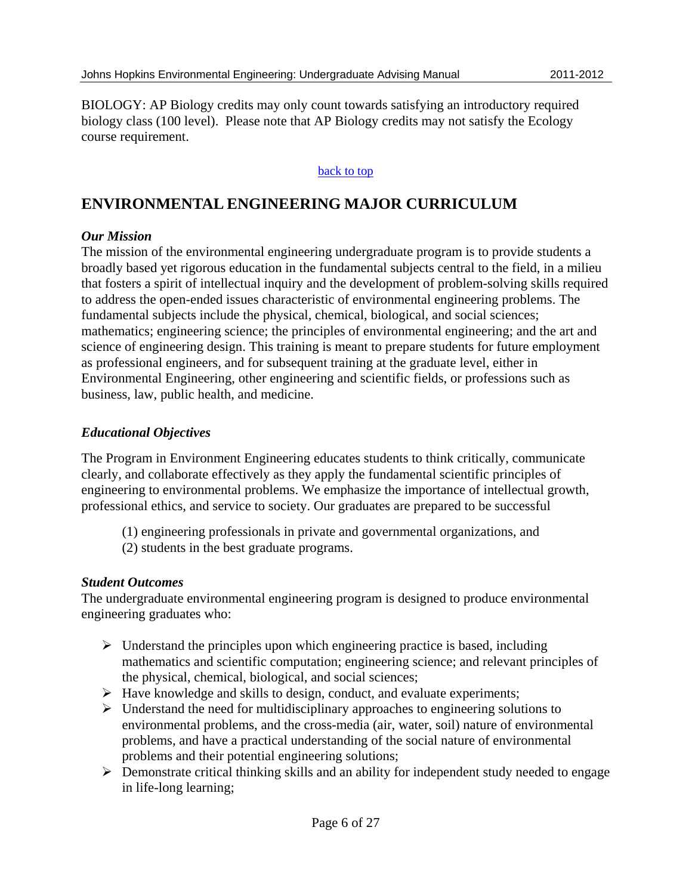BIOLOGY: AP Biology credits may only count towards satisfying an introductory required biology class (100 level). Please note that AP Biology credits may not satisfy the Ecology course requirement.

### back to top

## **ENVIRONMENTAL ENGINEERING MAJOR CURRICULUM**

### *Our Mission*

The mission of the environmental engineering undergraduate program is to provide students a broadly based yet rigorous education in the fundamental subjects central to the field, in a milieu that fosters a spirit of intellectual inquiry and the development of problem-solving skills required to address the open-ended issues characteristic of environmental engineering problems. The fundamental subjects include the physical, chemical, biological, and social sciences; mathematics; engineering science; the principles of environmental engineering; and the art and science of engineering design. This training is meant to prepare students for future employment as professional engineers, and for subsequent training at the graduate level, either in Environmental Engineering, other engineering and scientific fields, or professions such as business, law, public health, and medicine.

### *Educational Objectives*

The Program in Environment Engineering educates students to think critically, communicate clearly, and collaborate effectively as they apply the fundamental scientific principles of engineering to environmental problems. We emphasize the importance of intellectual growth, professional ethics, and service to society. Our graduates are prepared to be successful

- (1) engineering professionals in private and governmental organizations, and
- (2) students in the best graduate programs.

### *Student Outcomes*

The undergraduate environmental engineering program is designed to produce environmental engineering graduates who:

- $\triangleright$  Understand the principles upon which engineering practice is based, including mathematics and scientific computation; engineering science; and relevant principles of the physical, chemical, biological, and social sciences;
- $\triangleright$  Have knowledge and skills to design, conduct, and evaluate experiments;
- $\triangleright$  Understand the need for multidisciplinary approaches to engineering solutions to environmental problems, and the cross-media (air, water, soil) nature of environmental problems, and have a practical understanding of the social nature of environmental problems and their potential engineering solutions;
- $\triangleright$  Demonstrate critical thinking skills and an ability for independent study needed to engage in life-long learning;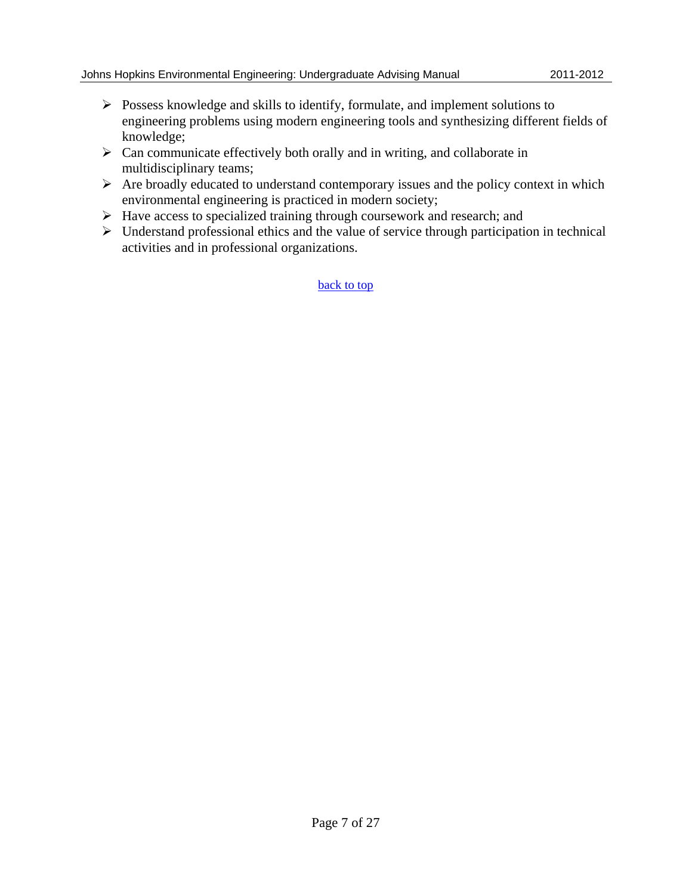- $\triangleright$  Possess knowledge and skills to identify, formulate, and implement solutions to engineering problems using modern engineering tools and synthesizing different fields of knowledge;
- $\triangleright$  Can communicate effectively both orally and in writing, and collaborate in multidisciplinary teams;
- $\triangleright$  Are broadly educated to understand contemporary issues and the policy context in which environmental engineering is practiced in modern society;
- $\triangleright$  Have access to specialized training through coursework and research; and
- $\triangleright$  Understand professional ethics and the value of service through participation in technical activities and in professional organizations.

back to top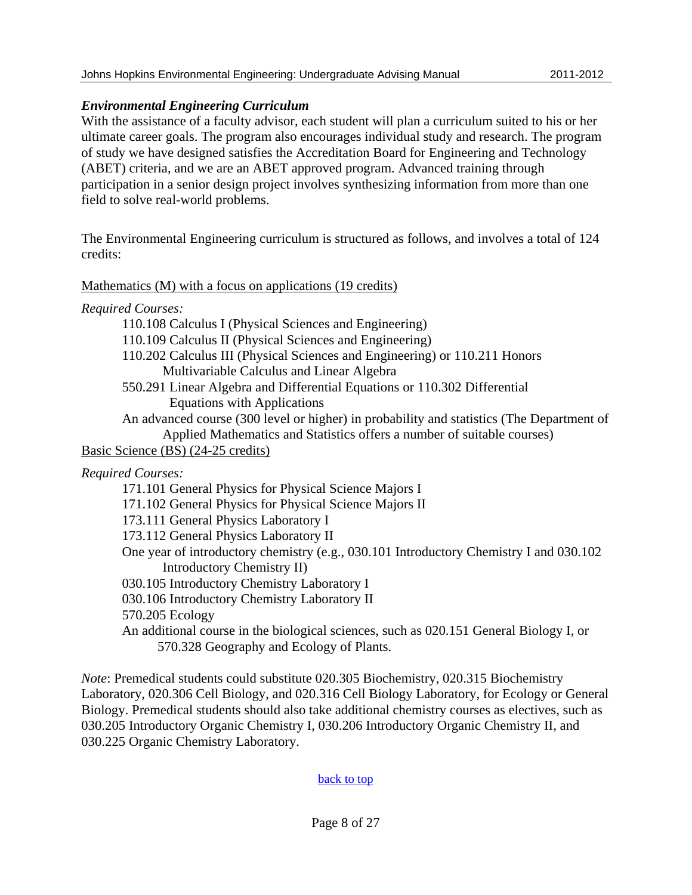### *Environmental Engineering Curriculum*

With the assistance of a faculty advisor, each student will plan a curriculum suited to his or her ultimate career goals. The program also encourages individual study and research. The program of study we have designed satisfies the Accreditation Board for Engineering and Technology (ABET) criteria, and we are an ABET approved program. Advanced training through participation in a senior design project involves synthesizing information from more than one field to solve real-world problems.

The Environmental Engineering curriculum is structured as follows, and involves a total of 124 credits:

### Mathematics (M) with a focus on applications (19 credits)

*Required Courses:* 

110.108 Calculus I (Physical Sciences and Engineering)

110.109 Calculus II (Physical Sciences and Engineering)

- 110.202 Calculus III (Physical Sciences and Engineering) or 110.211 Honors Multivariable Calculus and Linear Algebra
- 550.291 Linear Algebra and Differential Equations or 110.302 Differential Equations with Applications

An advanced course (300 level or higher) in probability and statistics (The Department of Applied Mathematics and Statistics offers a number of suitable courses)

Basic Science (BS) (24-25 credits)

*Required Courses:* 

171.101 General Physics for Physical Science Majors I

171.102 General Physics for Physical Science Majors II

173.111 General Physics Laboratory I

173.112 General Physics Laboratory II

One year of introductory chemistry (e.g., 030.101 Introductory Chemistry I and 030.102 Introductory Chemistry II)

030.105 Introductory Chemistry Laboratory I

030.106 Introductory Chemistry Laboratory II

570.205 Ecology

An additional course in the biological sciences, such as 020.151 General Biology I, or 570.328 Geography and Ecology of Plants.

*Note*: Premedical students could substitute 020.305 Biochemistry, 020.315 Biochemistry Laboratory, 020.306 Cell Biology, and 020.316 Cell Biology Laboratory, for Ecology or General Biology. Premedical students should also take additional chemistry courses as electives, such as 030.205 Introductory Organic Chemistry I, 030.206 Introductory Organic Chemistry II, and 030.225 Organic Chemistry Laboratory.

### back to top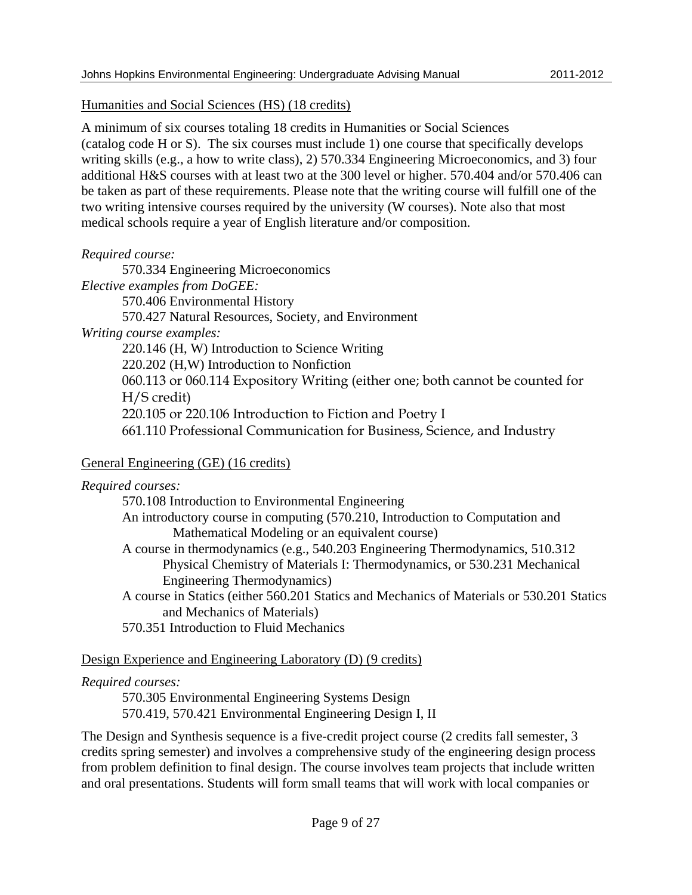Humanities and Social Sciences (HS) (18 credits)

A minimum of six courses totaling 18 credits in Humanities or Social Sciences (catalog code H or S). The six courses must include 1) one course that specifically develops writing skills (e.g., a how to write class), 2) 570.334 Engineering Microeconomics, and 3) four additional H&S courses with at least two at the 300 level or higher. 570.404 and/or 570.406 can be taken as part of these requirements. Please note that the writing course will fulfill one of the two writing intensive courses required by the university (W courses). Note also that most medical schools require a year of English literature and/or composition.

### *Required course:*

570.334 Engineering Microeconomics *Elective examples from DoGEE:*  570.406 Environmental History 570.427 Natural Resources, Society, and Environment *Writing course examples:*  220.146 (H, W) Introduction to Science Writing 220.202 (H,W) Introduction to Nonfiction 060.113 or 060.114 Expository Writing (either one; both cannot be counted for H/S credit) 220.105 or 220.106 Introduction to Fiction and Poetry I 661.110 Professional Communication for Business, Science, and Industry

### General Engineering (GE) (16 credits)

| Required courses:                                                                                                        |
|--------------------------------------------------------------------------------------------------------------------------|
| 570.108 Introduction to Environmental Engineering                                                                        |
| An introductory course in computing (570.210, Introduction to Computation and                                            |
| Mathematical Modeling or an equivalent course)                                                                           |
| A course in thermodynamics (e.g., 540.203 Engineering Thermodynamics, 510.312)                                           |
| Physical Chemistry of Materials I: Thermodynamics, or 530.231 Mechanical                                                 |
| Engineering Thermodynamics)                                                                                              |
| A course in Statics (either 560.201 Statics and Mechanics of Materials or 530.201 Statics<br>and Mechanics of Materials) |
| 570.351 Introduction to Fluid Mechanics                                                                                  |

### Design Experience and Engineering Laboratory (D) (9 credits)

### *Required courses:*

570.305 Environmental Engineering Systems Design 570.419, 570.421 Environmental Engineering Design I, II

The Design and Synthesis sequence is a five-credit project course (2 credits fall semester, 3 credits spring semester) and involves a comprehensive study of the engineering design process from problem definition to final design. The course involves team projects that include written and oral presentations. Students will form small teams that will work with local companies or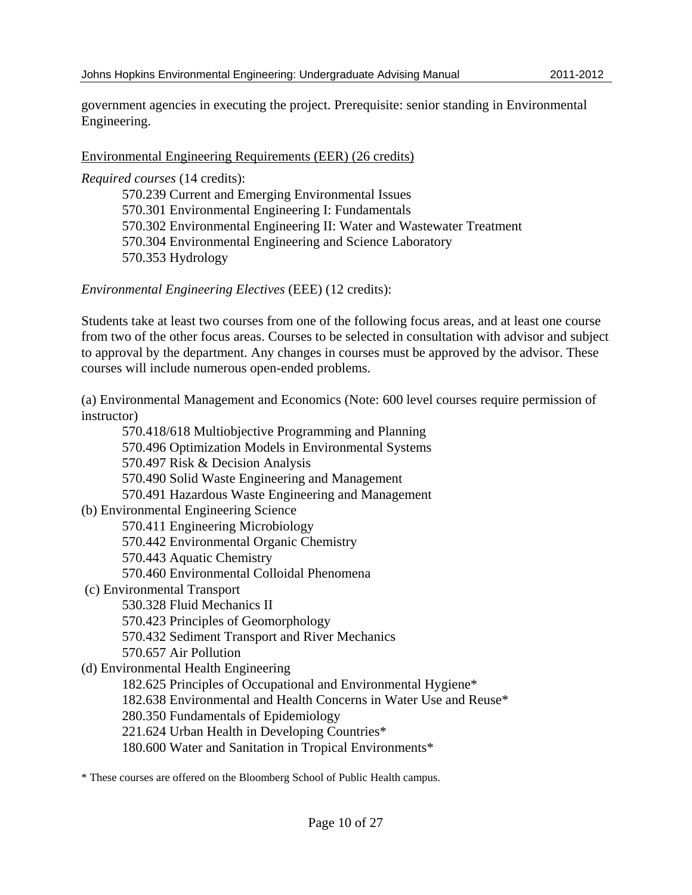government agencies in executing the project. Prerequisite: senior standing in Environmental Engineering.

### Environmental Engineering Requirements (EER) (26 credits)

*Required courses* (14 credits):

570.239 Current and Emerging Environmental Issues 570.301 Environmental Engineering I: Fundamentals 570.302 Environmental Engineering II: Water and Wastewater Treatment 570.304 Environmental Engineering and Science Laboratory 570.353 Hydrology

*Environmental Engineering Electives* (EEE) (12 credits):

Students take at least two courses from one of the following focus areas, and at least one course from two of the other focus areas. Courses to be selected in consultation with advisor and subject to approval by the department. Any changes in courses must be approved by the advisor. These courses will include numerous open-ended problems.

(a) Environmental Management and Economics (Note: 600 level courses require permission of instructor)

570.418/618 Multiobjective Programming and Planning 570.496 Optimization Models in Environmental Systems 570.497 Risk & Decision Analysis 570.490 Solid Waste Engineering and Management 570.491 Hazardous Waste Engineering and Management (b) Environmental Engineering Science 570.411 Engineering Microbiology 570.442 Environmental Organic Chemistry 570.443 Aquatic Chemistry 570.460 Environmental Colloidal Phenomena (c) Environmental Transport 530.328 Fluid Mechanics II 570.423 Principles of Geomorphology 570.432 Sediment Transport and River Mechanics 570.657 Air Pollution (d) Environmental Health Engineering 182.625 Principles of Occupational and Environmental Hygiene\* 182.638 Environmental and Health Concerns in Water Use and Reuse\* 280.350 Fundamentals of Epidemiology 221.624 Urban Health in Developing Countries\* 180.600 Water and Sanitation in Tropical Environments\*

\* These courses are offered on the Bloomberg School of Public Health campus.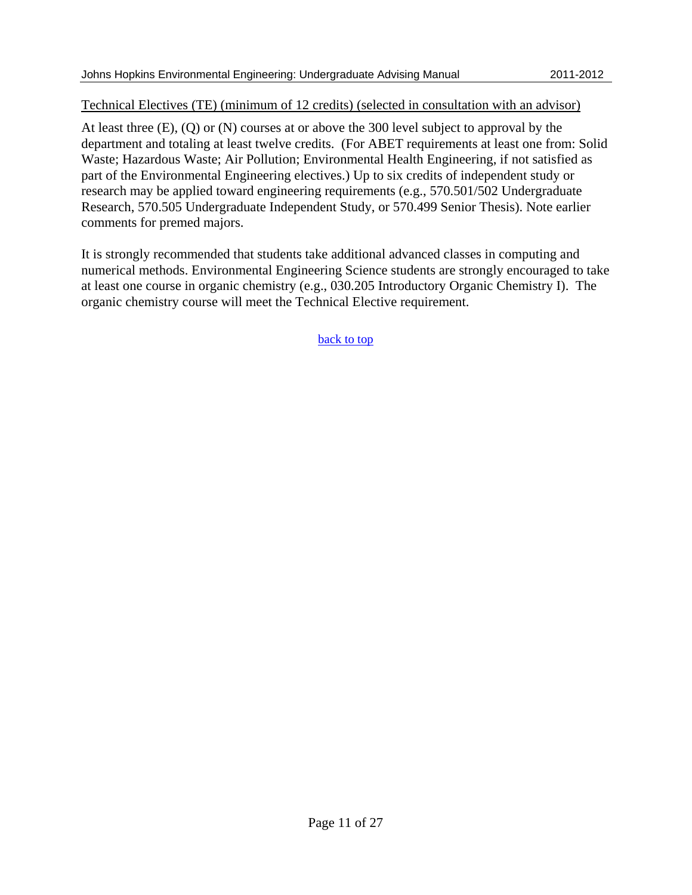### Technical Electives (TE) (minimum of 12 credits) (selected in consultation with an advisor)

At least three (E), (Q) or (N) courses at or above the 300 level subject to approval by the department and totaling at least twelve credits. (For ABET requirements at least one from: Solid Waste; Hazardous Waste; Air Pollution; Environmental Health Engineering, if not satisfied as part of the Environmental Engineering electives.) Up to six credits of independent study or research may be applied toward engineering requirements (e.g., 570.501/502 Undergraduate Research, 570.505 Undergraduate Independent Study, or 570.499 Senior Thesis). Note earlier comments for premed majors.

It is strongly recommended that students take additional advanced classes in computing and numerical methods. Environmental Engineering Science students are strongly encouraged to take at least one course in organic chemistry (e.g., 030.205 Introductory Organic Chemistry I). The organic chemistry course will meet the Technical Elective requirement.

back to top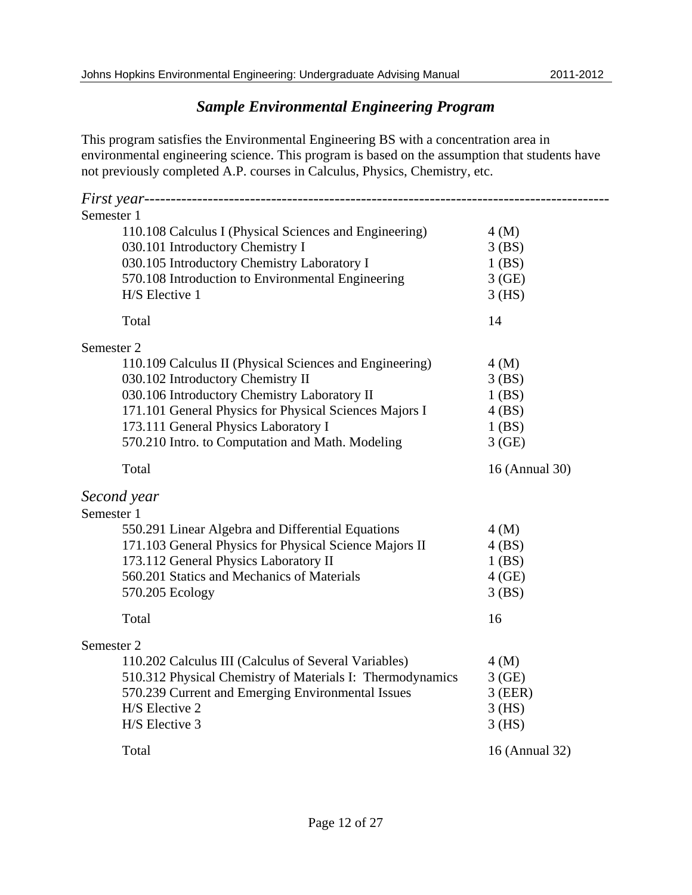## *Sample Environmental Engineering Program*

This program satisfies the Environmental Engineering BS with a concentration area in environmental engineering science. This program is based on the assumption that students have not previously completed A.P. courses in Calculus, Physics, Chemistry, etc.

| Semester 1                                                |                |
|-----------------------------------------------------------|----------------|
| 110.108 Calculus I (Physical Sciences and Engineering)    | 4(M)           |
| 030.101 Introductory Chemistry I                          | 3(BS)          |
| 030.105 Introductory Chemistry Laboratory I               | $1$ (BS)       |
| 570.108 Introduction to Environmental Engineering         | 3(GE)          |
| H/S Elective 1                                            | $3$ (HS)       |
| Total                                                     | 14             |
| Semester 2                                                |                |
| 110.109 Calculus II (Physical Sciences and Engineering)   | 4(M)           |
| 030.102 Introductory Chemistry II                         | 3(BS)          |
| 030.106 Introductory Chemistry Laboratory II              | 1(BS)          |
| 171.101 General Physics for Physical Sciences Majors I    | 4(BS)          |
| 173.111 General Physics Laboratory I                      | $1$ (BS)       |
| 570.210 Intro. to Computation and Math. Modeling          | 3(GE)          |
| Total                                                     | 16 (Annual 30) |
| Second year                                               |                |
| Semester 1                                                |                |
| 550.291 Linear Algebra and Differential Equations         | 4(M)           |
| 171.103 General Physics for Physical Science Majors II    | 4(BS)          |
| 173.112 General Physics Laboratory II                     | $1$ (BS)       |
| 560.201 Statics and Mechanics of Materials                | $4$ (GE)       |
| 570.205 Ecology                                           | 3(BS)          |
| Total                                                     | 16             |
| Semester 2                                                |                |
| 110.202 Calculus III (Calculus of Several Variables)      | 4(M)           |
| 510.312 Physical Chemistry of Materials I: Thermodynamics | 3(GE)          |
| 570.239 Current and Emerging Environmental Issues         | $3$ (EER)      |
| H/S Elective 2                                            | $3$ (HS)       |
| H/S Elective 3                                            | $3$ (HS)       |
| Total                                                     | 16 (Annual 32) |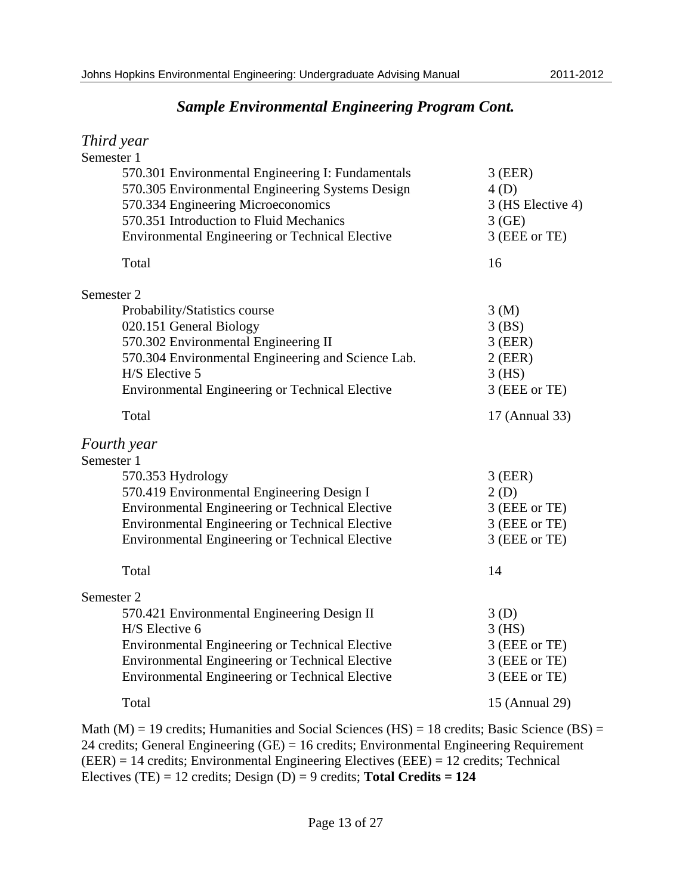$T1 \cdot T$ 

## *Sample Environmental Engineering Program Cont.*

| 1 nira year                                                                                                                                                                                                                                                  |                                                                           |
|--------------------------------------------------------------------------------------------------------------------------------------------------------------------------------------------------------------------------------------------------------------|---------------------------------------------------------------------------|
| Semester 1<br>570.301 Environmental Engineering I: Fundamentals<br>570.305 Environmental Engineering Systems Design<br>570.334 Engineering Microeconomics<br>570.351 Introduction to Fluid Mechanics<br>Environmental Engineering or Technical Elective      | $3$ (EER)<br>4(D)<br>3 (HS Elective 4)<br>3(GE)<br>3 (EEE or TE)          |
| Total                                                                                                                                                                                                                                                        | 16                                                                        |
| Semester 2<br>Probability/Statistics course<br>020.151 General Biology<br>570.302 Environmental Engineering II<br>570.304 Environmental Engineering and Science Lab.<br>H/S Elective 5<br><b>Environmental Engineering or Technical Elective</b>             | 3(M)<br>$3$ (BS)<br>$3$ (EER)<br>$2$ (EER)<br>$3$ (HS)<br>3 (EEE or TE)   |
| Total                                                                                                                                                                                                                                                        | 17 (Annual 33)                                                            |
| Fourth year<br>Semester 1<br>570.353 Hydrology<br>570.419 Environmental Engineering Design I<br>Environmental Engineering or Technical Elective<br>Environmental Engineering or Technical Elective<br><b>Environmental Engineering or Technical Elective</b> | $3$ (EER)<br>2(D)<br>3 (EEE or TE)<br>3 (EEE or TE)<br>3 (EEE or TE)      |
| Total<br>Semester 2<br>570.421 Environmental Engineering Design II<br>H/S Elective 6<br>Environmental Engineering or Technical Elective<br>Environmental Engineering or Technical Elective<br><b>Environmental Engineering or Technical Elective</b>         | 14<br>3(D)<br>$3$ (HS)<br>3 (EEE or TE)<br>3 (EEE or TE)<br>3 (EEE or TE) |
| Total                                                                                                                                                                                                                                                        | 15 (Annual 29)                                                            |
|                                                                                                                                                                                                                                                              |                                                                           |

Math (M) = 19 credits; Humanities and Social Sciences (HS) = 18 credits; Basic Science (BS) = 24 credits; General Engineering (GE) = 16 credits; Environmental Engineering Requirement (EER) = 14 credits; Environmental Engineering Electives (EEE) = 12 credits; Technical Electives (TE) = 12 credits; Design (D) = 9 credits; **Total Credits = 124**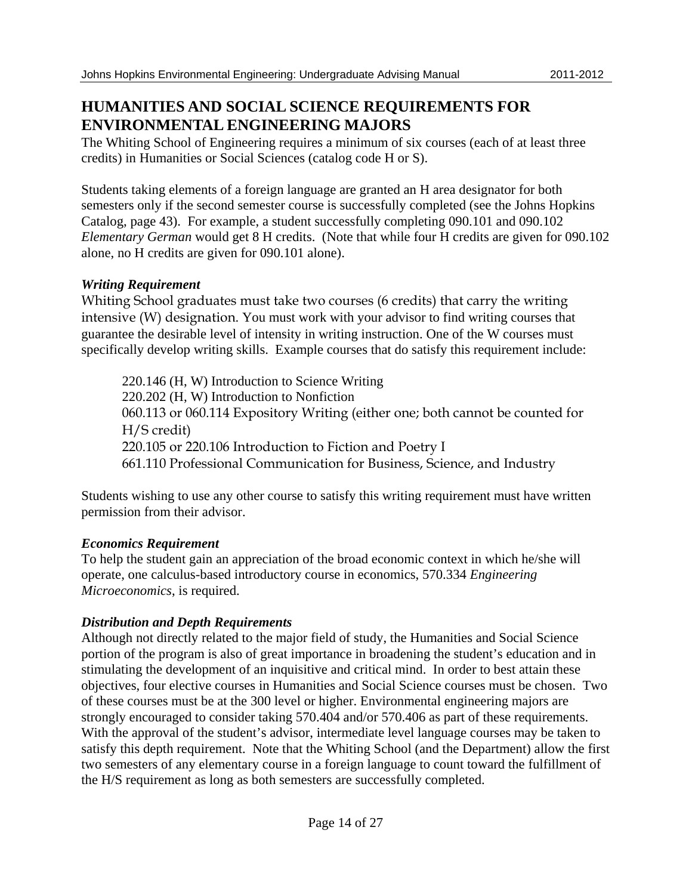## **HUMANITIES AND SOCIAL SCIENCE REQUIREMENTS FOR ENVIRONMENTAL ENGINEERING MAJORS**

The Whiting School of Engineering requires a minimum of six courses (each of at least three credits) in Humanities or Social Sciences (catalog code H or S).

Students taking elements of a foreign language are granted an H area designator for both semesters only if the second semester course is successfully completed (see the Johns Hopkins Catalog, page 43). For example, a student successfully completing 090.101 and 090.102 *Elementary German* would get 8 H credits. (Note that while four H credits are given for 090.102 alone, no H credits are given for 090.101 alone).

### *Writing Requirement*

Whiting School graduates must take two courses (6 credits) that carry the writing intensive (W) designation. You must work with your advisor to find writing courses that guarantee the desirable level of intensity in writing instruction. One of the W courses must specifically develop writing skills. Example courses that do satisfy this requirement include:

220.146 (H, W) Introduction to Science Writing 220.202 (H, W) Introduction to Nonfiction 060.113 or 060.114 Expository Writing (either one; both cannot be counted for H/S credit) 220.105 or 220.106 Introduction to Fiction and Poetry I 661.110 Professional Communication for Business, Science, and Industry

Students wishing to use any other course to satisfy this writing requirement must have written permission from their advisor.

### *Economics Requirement*

To help the student gain an appreciation of the broad economic context in which he/she will operate, one calculus-based introductory course in economics, 570.334 *Engineering Microeconomics*, is required.

### *Distribution and Depth Requirements*

Although not directly related to the major field of study, the Humanities and Social Science portion of the program is also of great importance in broadening the student's education and in stimulating the development of an inquisitive and critical mind. In order to best attain these objectives, four elective courses in Humanities and Social Science courses must be chosen. Two of these courses must be at the 300 level or higher. Environmental engineering majors are strongly encouraged to consider taking 570.404 and/or 570.406 as part of these requirements. With the approval of the student's advisor, intermediate level language courses may be taken to satisfy this depth requirement. Note that the Whiting School (and the Department) allow the first two semesters of any elementary course in a foreign language to count toward the fulfillment of the H/S requirement as long as both semesters are successfully completed.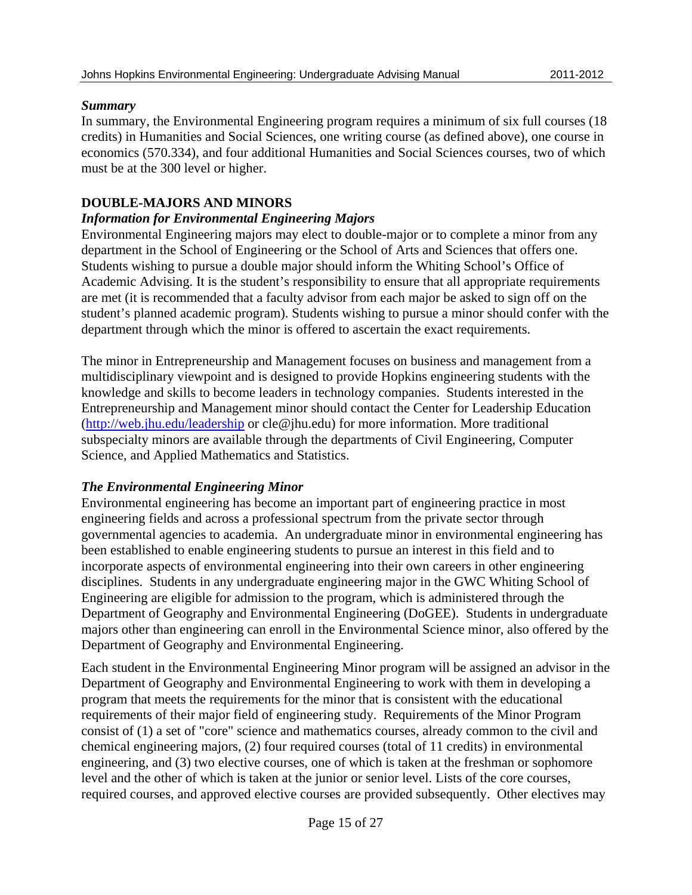### *Summary*

In summary, the Environmental Engineering program requires a minimum of six full courses (18 credits) in Humanities and Social Sciences, one writing course (as defined above), one course in economics (570.334), and four additional Humanities and Social Sciences courses, two of which must be at the 300 level or higher.

### **DOUBLE-MAJORS AND MINORS**

### *Information for Environmental Engineering Majors*

Environmental Engineering majors may elect to double-major or to complete a minor from any department in the School of Engineering or the School of Arts and Sciences that offers one. Students wishing to pursue a double major should inform the Whiting School's Office of Academic Advising. It is the student's responsibility to ensure that all appropriate requirements are met (it is recommended that a faculty advisor from each major be asked to sign off on the student's planned academic program). Students wishing to pursue a minor should confer with the department through which the minor is offered to ascertain the exact requirements.

The minor in Entrepreneurship and Management focuses on business and management from a multidisciplinary viewpoint and is designed to provide Hopkins engineering students with the knowledge and skills to become leaders in technology companies. Students interested in the Entrepreneurship and Management minor should contact the Center for Leadership Education (http://web.jhu.edu/leadership or cle@jhu.edu) for more information. More traditional subspecialty minors are available through the departments of Civil Engineering, Computer Science, and Applied Mathematics and Statistics.

### *The Environmental Engineering Minor*

Environmental engineering has become an important part of engineering practice in most engineering fields and across a professional spectrum from the private sector through governmental agencies to academia. An undergraduate minor in environmental engineering has been established to enable engineering students to pursue an interest in this field and to incorporate aspects of environmental engineering into their own careers in other engineering disciplines. Students in any undergraduate engineering major in the GWC Whiting School of Engineering are eligible for admission to the program, which is administered through the Department of Geography and Environmental Engineering (DoGEE). Students in undergraduate majors other than engineering can enroll in the Environmental Science minor, also offered by the Department of Geography and Environmental Engineering.

Each student in the Environmental Engineering Minor program will be assigned an advisor in the Department of Geography and Environmental Engineering to work with them in developing a program that meets the requirements for the minor that is consistent with the educational requirements of their major field of engineering study. Requirements of the Minor Program consist of (1) a set of "core" science and mathematics courses, already common to the civil and chemical engineering majors, (2) four required courses (total of 11 credits) in environmental engineering, and (3) two elective courses, one of which is taken at the freshman or sophomore level and the other of which is taken at the junior or senior level. Lists of the core courses, required courses, and approved elective courses are provided subsequently. Other electives may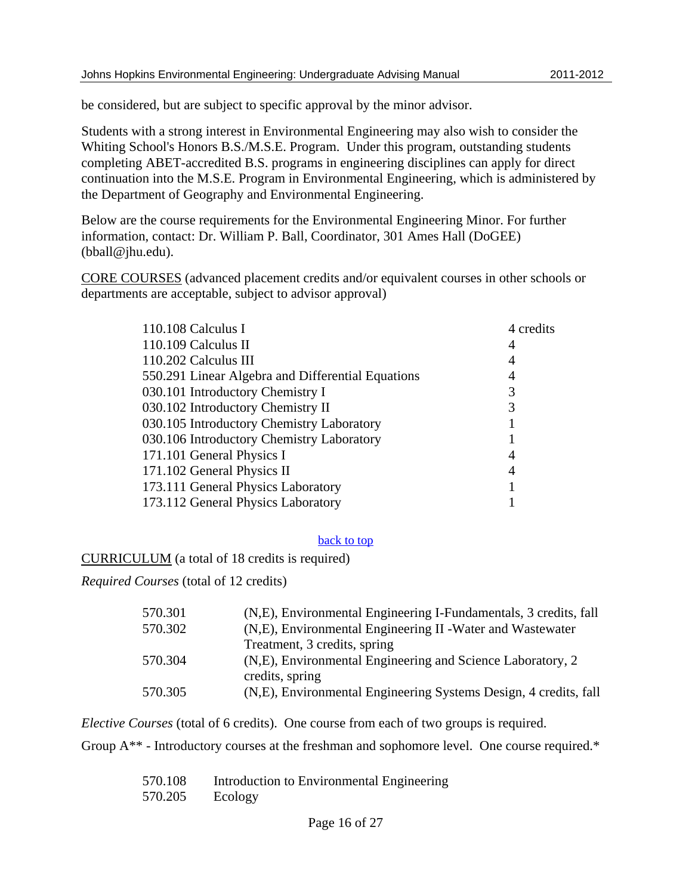be considered, but are subject to specific approval by the minor advisor.

Students with a strong interest in Environmental Engineering may also wish to consider the Whiting School's Honors B.S./M.S.E. Program. Under this program, outstanding students completing ABET-accredited B.S. programs in engineering disciplines can apply for direct continuation into the M.S.E. Program in Environmental Engineering, which is administered by the Department of Geography and Environmental Engineering.

Below are the course requirements for the Environmental Engineering Minor. For further information, contact: Dr. William P. Ball, Coordinator, 301 Ames Hall (DoGEE) (bball@jhu.edu).

CORE COURSES (advanced placement credits and/or equivalent courses in other schools or departments are acceptable, subject to advisor approval)

| 110.108 Calculus I                                | 4 credits |
|---------------------------------------------------|-----------|
| 110.109 Calculus II                               | 4         |
| 110.202 Calculus III                              | 4         |
| 550.291 Linear Algebra and Differential Equations | 4         |
| 030.101 Introductory Chemistry I                  |           |
| 030.102 Introductory Chemistry II                 |           |
| 030.105 Introductory Chemistry Laboratory         |           |
| 030.106 Introductory Chemistry Laboratory         |           |
| 171.101 General Physics I                         | 4         |
| 171.102 General Physics II                        | 4         |
| 173.111 General Physics Laboratory                |           |
| 173.112 General Physics Laboratory                |           |
|                                                   |           |

### back to top

CURRICULUM (a total of 18 credits is required)

*Required Courses* (total of 12 credits)

| 570.301 | (N,E), Environmental Engineering I-Fundamentals, 3 credits, fall |
|---------|------------------------------------------------------------------|
| 570.302 | (N,E), Environmental Engineering II - Water and Wastewater       |
|         | Treatment, 3 credits, spring                                     |
| 570.304 | (N,E), Environmental Engineering and Science Laboratory, 2       |
|         | credits, spring                                                  |
| 570.305 | (N,E), Environmental Engineering Systems Design, 4 credits, fall |

*Elective Courses* (total of 6 credits). One course from each of two groups is required.

Group  $A^{**}$  - Introductory courses at the freshman and sophomore level. One course required.\*

| 570.108 | Introduction to Environmental Engineering |
|---------|-------------------------------------------|
| 570.205 | Ecology                                   |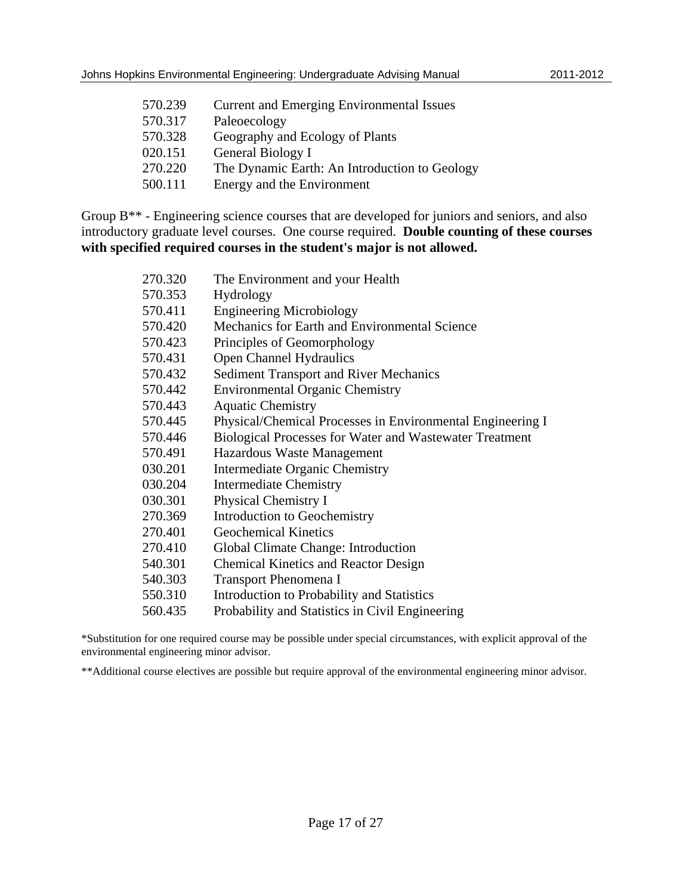| 570.239 | <b>Current and Emerging Environmental Issues</b> |
|---------|--------------------------------------------------|
| 570.317 | Paleoecology                                     |
| 570.328 | Geography and Ecology of Plants                  |
| 020.151 | General Biology I                                |
| 270.220 | The Dynamic Earth: An Introduction to Geology    |
| 500.111 | Energy and the Environment                       |

Group B<sup>\*\*</sup> - Engineering science courses that are developed for juniors and seniors, and also introductory graduate level courses. One course required. **Double counting of these courses with specified required courses in the student's major is not allowed.** 

| 270.320 | The Environment and your Health                            |
|---------|------------------------------------------------------------|
| 570.353 | Hydrology                                                  |
| 570.411 | <b>Engineering Microbiology</b>                            |
| 570.420 | Mechanics for Earth and Environmental Science              |
| 570.423 | Principles of Geomorphology                                |
| 570.431 | <b>Open Channel Hydraulics</b>                             |
| 570.432 | <b>Sediment Transport and River Mechanics</b>              |
| 570.442 | <b>Environmental Organic Chemistry</b>                     |
| 570.443 | <b>Aquatic Chemistry</b>                                   |
| 570.445 | Physical/Chemical Processes in Environmental Engineering I |
| 570.446 | Biological Processes for Water and Wastewater Treatment    |
| 570.491 | Hazardous Waste Management                                 |
| 030.201 | Intermediate Organic Chemistry                             |
| 030.204 | <b>Intermediate Chemistry</b>                              |
| 030.301 | Physical Chemistry I                                       |
| 270.369 | Introduction to Geochemistry                               |
| 270.401 | <b>Geochemical Kinetics</b>                                |
| 270.410 | Global Climate Change: Introduction                        |
| 540.301 | <b>Chemical Kinetics and Reactor Design</b>                |
| 540.303 | <b>Transport Phenomena I</b>                               |
| 550.310 | Introduction to Probability and Statistics                 |
| 560.435 | Probability and Statistics in Civil Engineering            |

\*Substitution for one required course may be possible under special circumstances, with explicit approval of the environmental engineering minor advisor.

\*\*Additional course electives are possible but require approval of the environmental engineering minor advisor.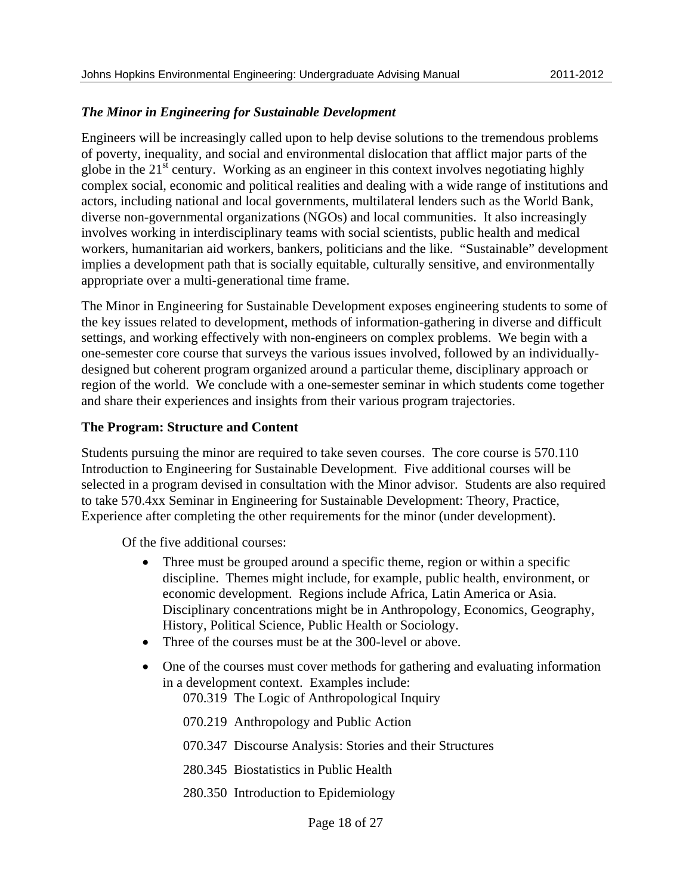### *The Minor in Engineering for Sustainable Development*

Engineers will be increasingly called upon to help devise solutions to the tremendous problems of poverty, inequality, and social and environmental dislocation that afflict major parts of the globe in the  $21<sup>st</sup>$  century. Working as an engineer in this context involves negotiating highly complex social, economic and political realities and dealing with a wide range of institutions and actors, including national and local governments, multilateral lenders such as the World Bank, diverse non-governmental organizations (NGOs) and local communities. It also increasingly involves working in interdisciplinary teams with social scientists, public health and medical workers, humanitarian aid workers, bankers, politicians and the like. "Sustainable" development implies a development path that is socially equitable, culturally sensitive, and environmentally appropriate over a multi-generational time frame.

The Minor in Engineering for Sustainable Development exposes engineering students to some of the key issues related to development, methods of information-gathering in diverse and difficult settings, and working effectively with non-engineers on complex problems. We begin with a one-semester core course that surveys the various issues involved, followed by an individuallydesigned but coherent program organized around a particular theme, disciplinary approach or region of the world. We conclude with a one-semester seminar in which students come together and share their experiences and insights from their various program trajectories.

### **The Program: Structure and Content**

Students pursuing the minor are required to take seven courses. The core course is 570.110 Introduction to Engineering for Sustainable Development. Five additional courses will be selected in a program devised in consultation with the Minor advisor. Students are also required to take 570.4xx Seminar in Engineering for Sustainable Development: Theory, Practice, Experience after completing the other requirements for the minor (under development).

Of the five additional courses:

- Three must be grouped around a specific theme, region or within a specific discipline. Themes might include, for example, public health, environment, or economic development. Regions include Africa, Latin America or Asia. Disciplinary concentrations might be in Anthropology, Economics, Geography, History, Political Science, Public Health or Sociology.
- Three of the courses must be at the 300-level or above.
- One of the courses must cover methods for gathering and evaluating information in a development context. Examples include:

070.319 The Logic of Anthropological Inquiry

- 070.219 Anthropology and Public Action
- 070.347 Discourse Analysis: Stories and their Structures
- 280.345 Biostatistics in Public Health
- 280.350 Introduction to Epidemiology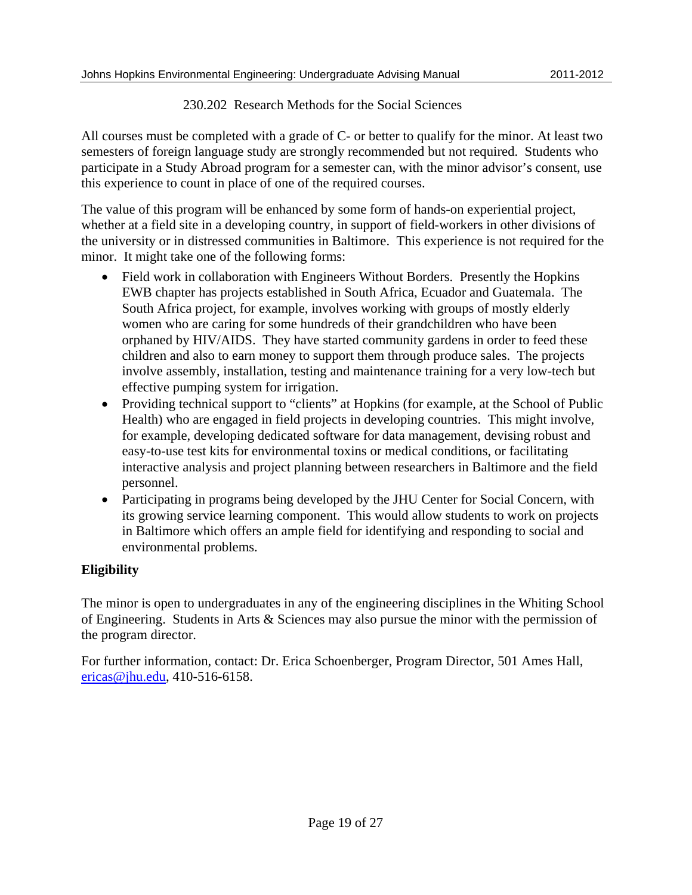### 230.202 Research Methods for the Social Sciences

All courses must be completed with a grade of C- or better to qualify for the minor. At least two semesters of foreign language study are strongly recommended but not required. Students who participate in a Study Abroad program for a semester can, with the minor advisor's consent, use this experience to count in place of one of the required courses.

The value of this program will be enhanced by some form of hands-on experiential project, whether at a field site in a developing country, in support of field-workers in other divisions of the university or in distressed communities in Baltimore. This experience is not required for the minor. It might take one of the following forms:

- Field work in collaboration with Engineers Without Borders. Presently the Hopkins EWB chapter has projects established in South Africa, Ecuador and Guatemala. The South Africa project, for example, involves working with groups of mostly elderly women who are caring for some hundreds of their grandchildren who have been orphaned by HIV/AIDS. They have started community gardens in order to feed these children and also to earn money to support them through produce sales. The projects involve assembly, installation, testing and maintenance training for a very low-tech but effective pumping system for irrigation.
- Providing technical support to "clients" at Hopkins (for example, at the School of Public Health) who are engaged in field projects in developing countries. This might involve, for example, developing dedicated software for data management, devising robust and easy-to-use test kits for environmental toxins or medical conditions, or facilitating interactive analysis and project planning between researchers in Baltimore and the field personnel.
- Participating in programs being developed by the JHU Center for Social Concern, with its growing service learning component. This would allow students to work on projects in Baltimore which offers an ample field for identifying and responding to social and environmental problems.

### **Eligibility**

The minor is open to undergraduates in any of the engineering disciplines in the Whiting School of Engineering. Students in Arts & Sciences may also pursue the minor with the permission of the program director.

For further information, contact: Dr. Erica Schoenberger, Program Director, 501 Ames Hall, ericas@jhu.edu, 410-516-6158.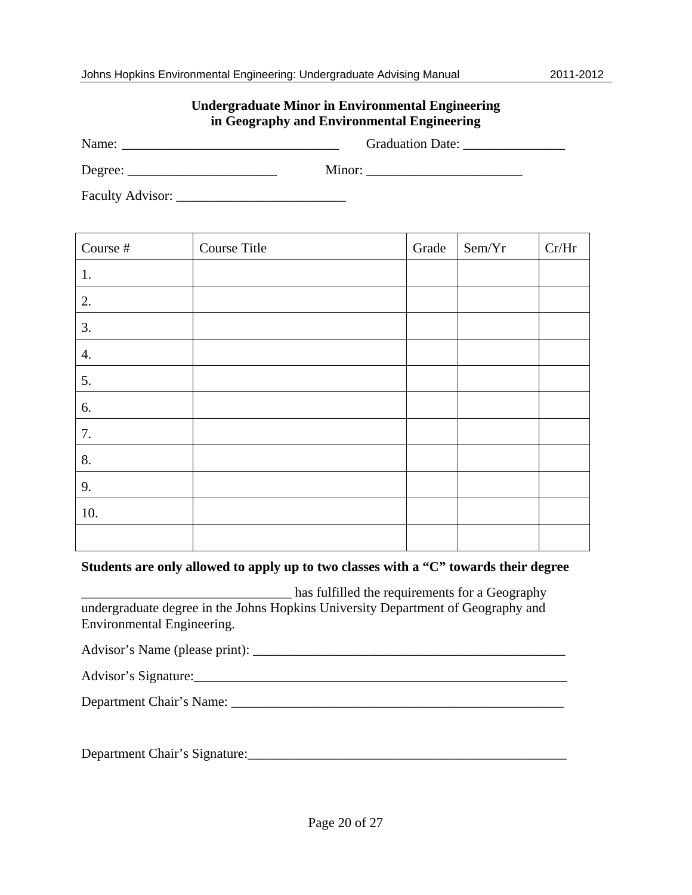| Johns Hopkins Environmental Engineering: Undergraduate Advising Manual |  |  | 2011-2012 |
|------------------------------------------------------------------------|--|--|-----------|
|                                                                        |  |  |           |
|                                                                        |  |  |           |

### **Undergraduate Minor in Environmental Engineering in Geography and Environmental Engineering**

Name: \_\_\_\_\_\_\_\_\_\_\_\_\_\_\_\_\_\_\_\_\_\_\_\_\_\_\_\_\_\_\_\_ Graduation Date: \_\_\_\_\_\_\_\_\_\_\_\_\_\_\_

Degree: \_\_\_\_\_\_\_\_\_\_\_\_\_\_\_\_\_\_\_\_\_\_ Minor: \_\_\_\_\_\_\_\_\_\_\_\_\_\_\_\_\_\_\_\_\_\_\_

Faculty Advisor: \_\_\_\_\_\_\_\_\_\_\_\_\_\_\_\_\_\_\_\_\_\_\_\_\_

| Course $\#$        | Course Title | Grade | Sem/Yr | Cr/Hr |
|--------------------|--------------|-------|--------|-------|
| 1.                 |              |       |        |       |
| 2.                 |              |       |        |       |
| 3.                 |              |       |        |       |
| $\boldsymbol{4}$ . |              |       |        |       |
| 5.                 |              |       |        |       |
| 6.                 |              |       |        |       |
| 7.                 |              |       |        |       |
| 8.                 |              |       |        |       |
| 9.                 |              |       |        |       |
| 10.                |              |       |        |       |
|                    |              |       |        |       |

### **Students are only allowed to apply up to two classes with a "C" towards their degree**

\_\_\_\_\_\_\_\_\_\_\_\_\_\_\_\_\_\_\_\_\_\_\_\_\_\_\_\_\_\_\_ has fulfilled the requirements for a Geography undergraduate degree in the Johns Hopkins University Department of Geography and Environmental Engineering.

Advisor's Name (please print): \_\_\_\_\_\_\_\_\_\_\_\_\_\_\_\_\_\_\_\_\_\_\_\_\_\_\_\_\_\_\_\_\_\_\_\_\_\_\_\_\_\_\_\_\_\_

| Advisor's Signature: |  |
|----------------------|--|
|                      |  |

Department Chair's Name: \_\_\_\_\_\_\_\_\_\_\_\_\_\_\_\_\_\_\_\_\_\_\_\_\_\_\_\_\_\_\_\_\_\_\_\_\_\_\_\_\_\_\_\_\_\_\_\_\_

Department Chair's Signature:\_\_\_\_\_\_\_\_\_\_\_\_\_\_\_\_\_\_\_\_\_\_\_\_\_\_\_\_\_\_\_\_\_\_\_\_\_\_\_\_\_\_\_\_\_\_\_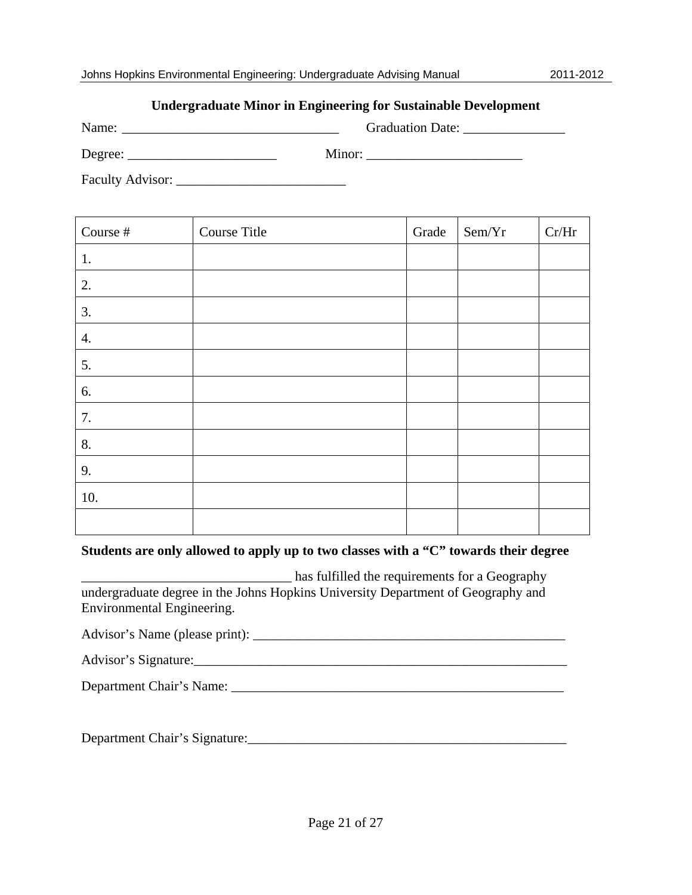### **Undergraduate Minor in Engineering for Sustainable Development**

| Name:   | <b>Graduation Date:</b> |
|---------|-------------------------|
| Degree: | Minor:                  |

Faculty Advisor: \_\_\_\_\_\_\_\_\_\_\_\_\_\_\_\_\_\_\_\_\_\_\_\_\_

| Course #           | Course Title | Grade | Sem/Yr | Cr/Hr |
|--------------------|--------------|-------|--------|-------|
| 1.                 |              |       |        |       |
| 2.                 |              |       |        |       |
| 3.                 |              |       |        |       |
| $\boldsymbol{4}$ . |              |       |        |       |
| 5.                 |              |       |        |       |
| 6.                 |              |       |        |       |
| 7.                 |              |       |        |       |
| 8.                 |              |       |        |       |
| 9.                 |              |       |        |       |
| 10.                |              |       |        |       |
|                    |              |       |        |       |

#### **Students are only allowed to apply up to two classes with a "C" towards their degree**

\_\_\_\_\_\_\_\_\_\_\_\_\_\_\_\_\_\_\_\_\_\_\_\_\_\_\_\_\_\_\_ has fulfilled the requirements for a Geography undergraduate degree in the Johns Hopkins University Department of Geography and Environmental Engineering.

Advisor's Name (please print):

Department Chair's Name: \_\_\_\_\_\_\_\_\_\_\_\_\_\_\_\_\_\_\_\_\_\_\_\_\_\_\_\_\_\_\_\_\_\_\_\_\_\_\_\_\_\_\_\_\_\_\_\_\_

Department Chair's Signature:\_\_\_\_\_\_\_\_\_\_\_\_\_\_\_\_\_\_\_\_\_\_\_\_\_\_\_\_\_\_\_\_\_\_\_\_\_\_\_\_\_\_\_\_\_\_\_

 $A$  , and the signature  $\overline{A}$  , and the signature  $\overline{A}$  , and the signature  $\overline{A}$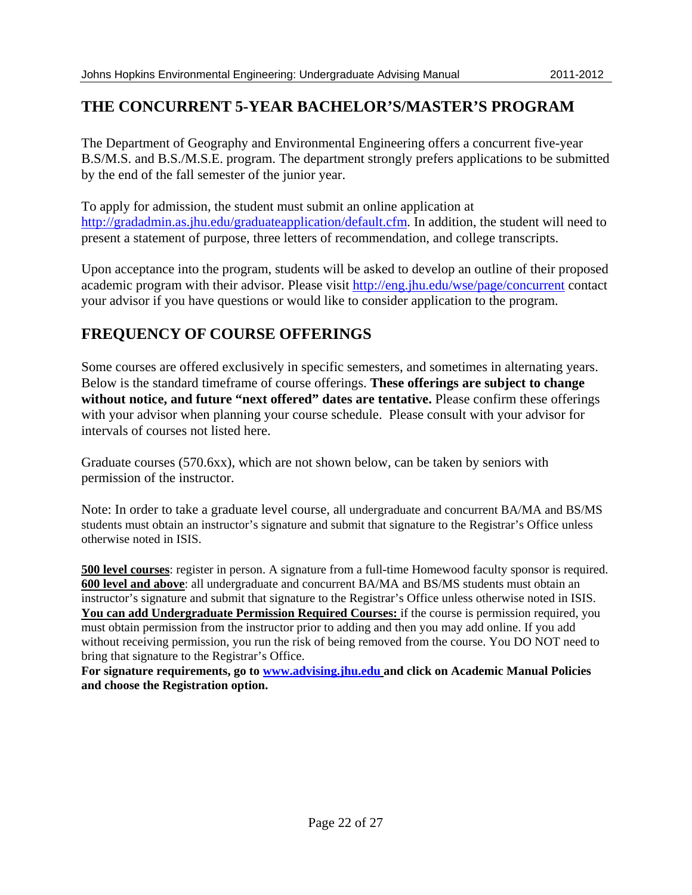## **THE CONCURRENT 5-YEAR BACHELOR'S/MASTER'S PROGRAM**

The Department of Geography and Environmental Engineering offers a concurrent five-year B.S/M.S. and B.S./M.S.E. program. The department strongly prefers applications to be submitted by the end of the fall semester of the junior year.

To apply for admission, the student must submit an online application at http://gradadmin.as.jhu.edu/graduateapplication/default.cfm. In addition, the student will need to present a statement of purpose, three letters of recommendation, and college transcripts.

Upon acceptance into the program, students will be asked to develop an outline of their proposed academic program with their advisor. Please visit http://eng.jhu.edu/wse/page/concurrent contact your advisor if you have questions or would like to consider application to the program.

## **FREQUENCY OF COURSE OFFERINGS**

Some courses are offered exclusively in specific semesters, and sometimes in alternating years. Below is the standard timeframe of course offerings. **These offerings are subject to change without notice, and future "next offered" dates are tentative.** Please confirm these offerings with your advisor when planning your course schedule. Please consult with your advisor for intervals of courses not listed here.

Graduate courses (570.6xx), which are not shown below, can be taken by seniors with permission of the instructor.

Note: In order to take a graduate level course, all undergraduate and concurrent BA/MA and BS/MS students must obtain an instructor's signature and submit that signature to the Registrar's Office unless otherwise noted in ISIS.

**500 level courses**: register in person. A signature from a full-time Homewood faculty sponsor is required. **600 level and above**: all undergraduate and concurrent BA/MA and BS/MS students must obtain an instructor's signature and submit that signature to the Registrar's Office unless otherwise noted in ISIS. You can add Undergraduate Permission Required Courses: if the course is permission required, you must obtain permission from the instructor prior to adding and then you may add online. If you add without receiving permission, you run the risk of being removed from the course. You DO NOT need to bring that signature to the Registrar's Office.

**For signature requirements, go to www.advising.jhu.edu and click on Academic Manual Policies and choose the Registration option.**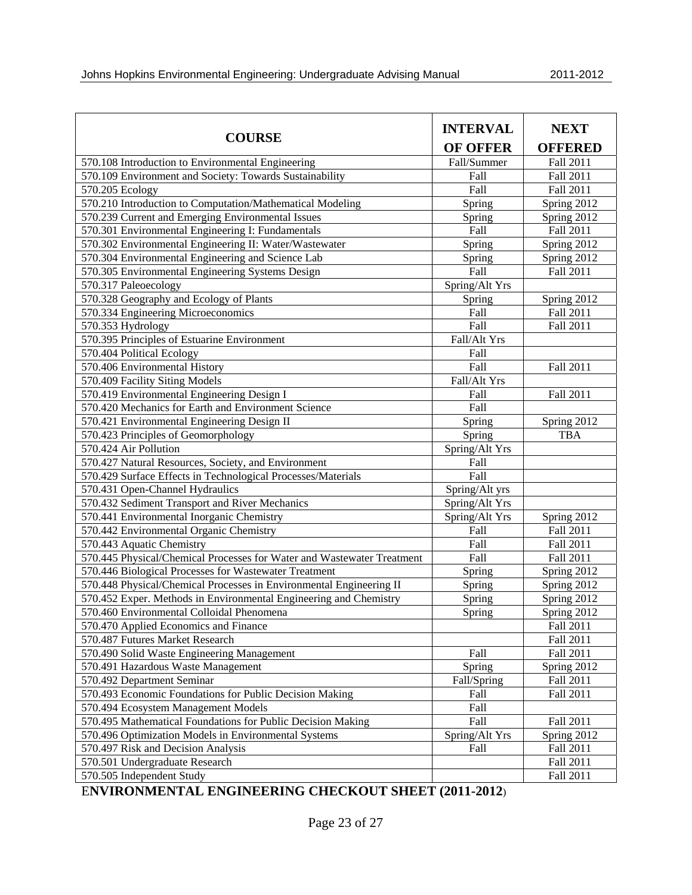|                                                                        | <b>INTERVAL</b> | <b>NEXT</b>    |  |  |
|------------------------------------------------------------------------|-----------------|----------------|--|--|
| <b>COURSE</b>                                                          | <b>OF OFFER</b> | <b>OFFERED</b> |  |  |
| 570.108 Introduction to Environmental Engineering                      | Fall/Summer     | Fall 2011      |  |  |
| 570.109 Environment and Society: Towards Sustainability                | Fall            | Fall 2011      |  |  |
| 570.205 Ecology                                                        | Fall            | Fall 2011      |  |  |
| 570.210 Introduction to Computation/Mathematical Modeling              | Spring          | Spring 2012    |  |  |
| 570.239 Current and Emerging Environmental Issues                      | Spring          | Spring 2012    |  |  |
| 570.301 Environmental Engineering I: Fundamentals                      | Fall            | Fall 2011      |  |  |
| 570.302 Environmental Engineering II: Water/Wastewater                 | Spring          | Spring 2012    |  |  |
| 570.304 Environmental Engineering and Science Lab                      | Spring          | Spring 2012    |  |  |
| 570.305 Environmental Engineering Systems Design                       | Fall            | Fall 2011      |  |  |
| 570.317 Paleoecology                                                   | Spring/Alt Yrs  |                |  |  |
| 570.328 Geography and Ecology of Plants                                | Spring          | Spring 2012    |  |  |
| 570.334 Engineering Microeconomics                                     | Fall            | Fall 2011      |  |  |
| 570.353 Hydrology                                                      | Fall            | Fall 2011      |  |  |
| 570.395 Principles of Estuarine Environment                            | Fall/Alt Yrs    |                |  |  |
| 570.404 Political Ecology                                              | Fall            |                |  |  |
| 570.406 Environmental History                                          | Fall            | Fall 2011      |  |  |
| 570.409 Facility Siting Models                                         | Fall/Alt Yrs    |                |  |  |
| 570.419 Environmental Engineering Design I                             | Fall            | Fall 2011      |  |  |
| 570.420 Mechanics for Earth and Environment Science                    | Fall            |                |  |  |
| 570.421 Environmental Engineering Design II                            | Spring          | Spring 2012    |  |  |
| 570.423 Principles of Geomorphology                                    | Spring          | <b>TBA</b>     |  |  |
| 570.424 Air Pollution                                                  | Spring/Alt Yrs  |                |  |  |
| 570.427 Natural Resources, Society, and Environment                    | Fall            |                |  |  |
| 570.429 Surface Effects in Technological Processes/Materials           | Fall            |                |  |  |
| 570.431 Open-Channel Hydraulics                                        | Spring/Alt yrs  |                |  |  |
| 570.432 Sediment Transport and River Mechanics                         | Spring/Alt Yrs  |                |  |  |
| 570.441 Environmental Inorganic Chemistry                              | Spring/Alt Yrs  | Spring 2012    |  |  |
| 570.442 Environmental Organic Chemistry                                | Fall            | Fall 2011      |  |  |
| 570.443 Aquatic Chemistry                                              | Fall            | Fall 2011      |  |  |
| 570.445 Physical/Chemical Processes for Water and Wastewater Treatment | Fall            | Fall 2011      |  |  |
| 570.446 Biological Processes for Wastewater Treatment                  | Spring          | Spring 2012    |  |  |
| 570.448 Physical/Chemical Processes in Environmental Engineering II    | Spring          | Spring 2012    |  |  |
| 570.452 Exper. Methods in Environmental Engineering and Chemistry      | Spring          | Spring 2012    |  |  |
| 570.460 Environmental Colloidal Phenomena                              | Spring          | Spring 2012    |  |  |
| 570.470 Applied Economics and Finance                                  |                 | Fall 2011      |  |  |
| 570.487 Futures Market Research                                        |                 | Fall 2011      |  |  |
| 570.490 Solid Waste Engineering Management                             | Fall            | Fall 2011      |  |  |
| 570.491 Hazardous Waste Management                                     | Spring          | Spring 2012    |  |  |
| 570.492 Department Seminar                                             | Fall/Spring     | Fall 2011      |  |  |
| 570.493 Economic Foundations for Public Decision Making                | Fall            | Fall 2011      |  |  |
| 570.494 Ecosystem Management Models                                    | Fall            |                |  |  |
| 570.495 Mathematical Foundations for Public Decision Making            | Fall            | Fall 2011      |  |  |
| 570.496 Optimization Models in Environmental Systems                   | Spring/Alt Yrs  | Spring 2012    |  |  |
| 570.497 Risk and Decision Analysis                                     | Fall            | Fall 2011      |  |  |
| 570.501 Undergraduate Research                                         |                 | Fall 2011      |  |  |
| 570.505 Independent Study                                              |                 | Fall 2011      |  |  |

E**NVIRONMENTAL ENGINEERING CHECKOUT SHEET (2011-2012**)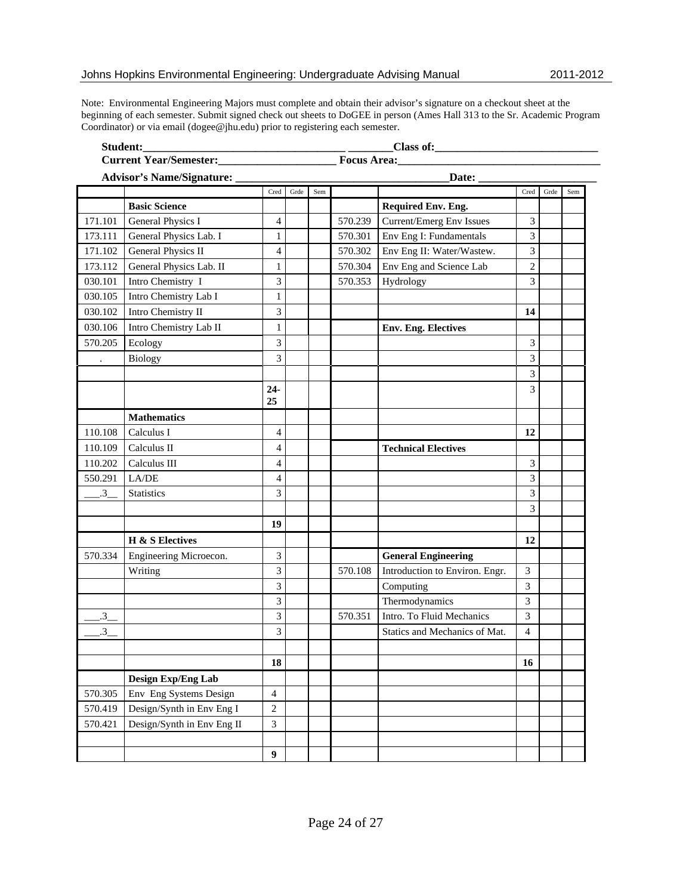Note: Environmental Engineering Majors must complete and obtain their advisor's signature on a checkout sheet at the beginning of each semester. Submit signed check out sheets to DoGEE in person (Ames Hall 313 to the Sr. Academic Program Coordinator) or via email (dogee@jhu.edu) prior to registering each semester.

| Student:               |                                  |                  | Class of:   |     |         |                                |                |      |     |
|------------------------|----------------------------------|------------------|-------------|-----|---------|--------------------------------|----------------|------|-----|
| Current Year/Semester: |                                  |                  | Focus Area: |     |         |                                |                |      |     |
|                        | <b>Advisor's Name/Signature:</b> |                  |             |     |         | Date:                          |                |      |     |
|                        |                                  | Cred             | Grde        | Sem |         |                                | Cred           | Grde | Sem |
|                        | <b>Basic Science</b>             |                  |             |     |         | Required Env. Eng.             |                |      |     |
| 171.101                | General Physics I                | 4                |             |     | 570.239 | Current/Emerg Env Issues       | 3              |      |     |
| 173.111                | General Physics Lab. I           | $\mathbf{1}$     |             |     | 570.301 | Env Eng I: Fundamentals        | 3              |      |     |
| 171.102                | General Physics II               | $\overline{4}$   |             |     | 570.302 | Env Eng II: Water/Wastew.      | 3              |      |     |
| 173.112                | General Physics Lab. II          | 1                |             |     | 570.304 | Env Eng and Science Lab        | $\sqrt{2}$     |      |     |
| 030.101                | Intro Chemistry I                | 3                |             |     | 570.353 | Hydrology                      | $\overline{3}$ |      |     |
| 030.105                | Intro Chemistry Lab I            | $\mathbf{1}$     |             |     |         |                                |                |      |     |
| 030.102                | Intro Chemistry II               | 3                |             |     |         |                                | 14             |      |     |
| 030.106                | Intro Chemistry Lab II           | 1                |             |     |         | <b>Env. Eng. Electives</b>     |                |      |     |
| 570.205                | Ecology                          | 3                |             |     |         |                                | 3              |      |     |
| $\ddot{\phantom{a}}$   | Biology                          | 3                |             |     |         |                                | 3              |      |     |
|                        |                                  |                  |             |     |         |                                | 3              |      |     |
|                        |                                  | $24 -$           |             |     |         |                                | 3              |      |     |
|                        |                                  | 25               |             |     |         |                                |                |      |     |
|                        | <b>Mathematics</b>               |                  |             |     |         |                                |                |      |     |
| 110.108                | Calculus I                       | $\overline{4}$   |             |     |         |                                | 12             |      |     |
| 110.109                | Calculus II                      | 4                |             |     |         | <b>Technical Electives</b>     |                |      |     |
| 110.202                | Calculus III                     | $\overline{4}$   |             |     |         |                                | 3              |      |     |
| 550.291                | LA/DE                            | $\overline{4}$   |             |     |         |                                | 3              |      |     |
| $\mathbf{.3}$          | <b>Statistics</b>                | 3                |             |     |         |                                | 3              |      |     |
|                        |                                  |                  |             |     |         |                                | 3              |      |     |
|                        |                                  | 19               |             |     |         |                                |                |      |     |
|                        | <b>H</b> & S Electives           |                  |             |     |         |                                | 12             |      |     |
| 570.334                | Engineering Microecon.           | 3                |             |     |         | <b>General Engineering</b>     |                |      |     |
|                        | Writing                          | 3                |             |     | 570.108 | Introduction to Environ. Engr. | 3              |      |     |
|                        |                                  | 3                |             |     |         | Computing                      | 3              |      |     |
|                        |                                  | 3                |             |     |         | Thermodynamics                 | 3              |      |     |
| $3_{-}$                |                                  | 3                |             |     | 570.351 | Intro. To Fluid Mechanics      | 3              |      |     |
| $3^{\circ}$            |                                  | 3                |             |     |         | Statics and Mechanics of Mat.  | $\overline{4}$ |      |     |
|                        |                                  |                  |             |     |         |                                |                |      |     |
|                        |                                  | 18               |             |     |         |                                | 16             |      |     |
|                        | Design Exp/Eng Lab               |                  |             |     |         |                                |                |      |     |
| 570.305                | Env Eng Systems Design           | $\overline{4}$   |             |     |         |                                |                |      |     |
| 570.419                | Design/Synth in Env Eng I        | $\sqrt{2}$       |             |     |         |                                |                |      |     |
| 570.421                | Design/Synth in Env Eng II       | 3                |             |     |         |                                |                |      |     |
|                        |                                  |                  |             |     |         |                                |                |      |     |
|                        |                                  | $\boldsymbol{9}$ |             |     |         |                                |                |      |     |
|                        |                                  |                  |             |     |         |                                |                |      |     |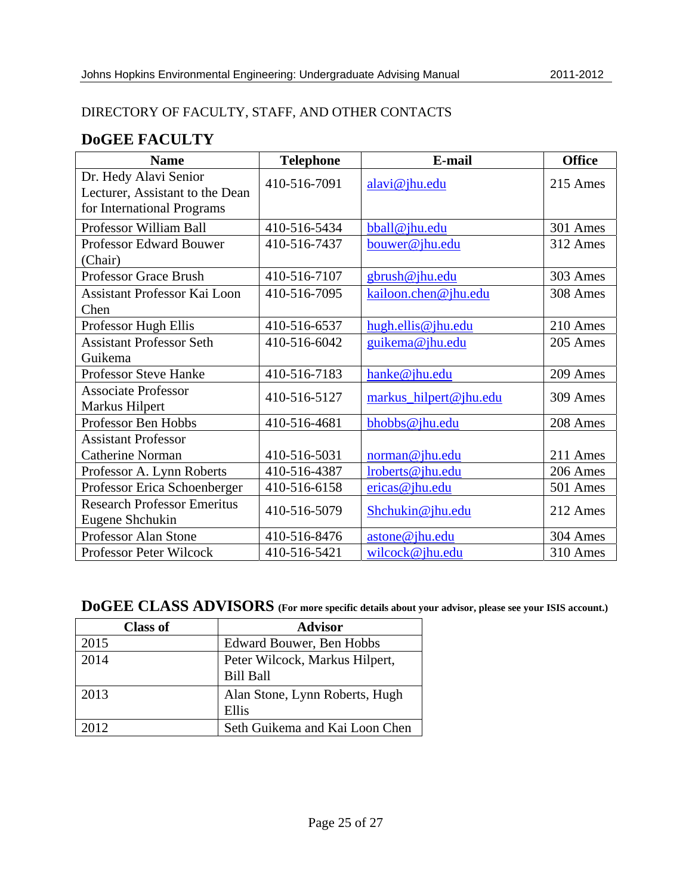## DIRECTORY OF FACULTY, STAFF, AND OTHER CONTACTS

## **DoGEE FACULTY**

| <b>Name</b>                                              | <b>Telephone</b> | E-mail                 |          |
|----------------------------------------------------------|------------------|------------------------|----------|
| Dr. Hedy Alavi Senior<br>Lecturer, Assistant to the Dean | 410-516-7091     | alavi@jhu.edu          | 215 Ames |
| for International Programs                               |                  |                        |          |
| Professor William Ball                                   | 410-516-5434     | bball@jhu.edu          | 301 Ames |
| <b>Professor Edward Bouwer</b><br>(Chair)                | 410-516-7437     | bouwer@jhu.edu         | 312 Ames |
| Professor Grace Brush                                    | 410-516-7107     | gbrush@jhu.edu         | 303 Ames |
| <b>Assistant Professor Kai Loon</b><br>Chen              | 410-516-7095     | kailoon.chen@jhu.edu   | 308 Ames |
| Professor Hugh Ellis                                     | 410-516-6537     | hugh.ellis@jhu.edu     | 210 Ames |
| <b>Assistant Professor Seth</b>                          | 410-516-6042     | guikema@jhu.edu        | 205 Ames |
| Guikema                                                  |                  |                        |          |
| <b>Professor Steve Hanke</b>                             | 410-516-7183     | hanke@jhu.edu          | 209 Ames |
| <b>Associate Professor</b><br>Markus Hilpert             | 410-516-5127     | markus_hilpert@jhu.edu | 309 Ames |
| Professor Ben Hobbs                                      | 410-516-4681     | bhobbs@jhu.edu         | 208 Ames |
| <b>Assistant Professor</b>                               |                  |                        |          |
| Catherine Norman                                         | 410-516-5031     | norman@jhu.edu         | 211 Ames |
| Professor A. Lynn Roberts                                | 410-516-4387     | lroberts@jhu.edu       | 206 Ames |
| Professor Erica Schoenberger                             | 410-516-6158     | $e$ ricas@jhu.edu      | 501 Ames |
| <b>Research Professor Emeritus</b><br>Eugene Shchukin    | 410-516-5079     | Shchukin@jhu.edu       | 212 Ames |
| Professor Alan Stone                                     | 410-516-8476     | astone@jhu.edu         | 304 Ames |
| Professor Peter Wilcock                                  | 410-516-5421     | wilcock@jhu.edu        | 310 Ames |

# **DoGEE CLASS ADVISORS (For more specific details about your advisor, please see your ISIS account.)**

| <b>Class of</b> | <b>Advisor</b>                                     |
|-----------------|----------------------------------------------------|
| 2015            | Edward Bouwer, Ben Hobbs                           |
| 2014            | Peter Wilcock, Markus Hilpert,<br><b>Bill Ball</b> |
| 2013            | Alan Stone, Lynn Roberts, Hugh<br>Ellis            |
| 2012            | Seth Guikema and Kai Loon Chen                     |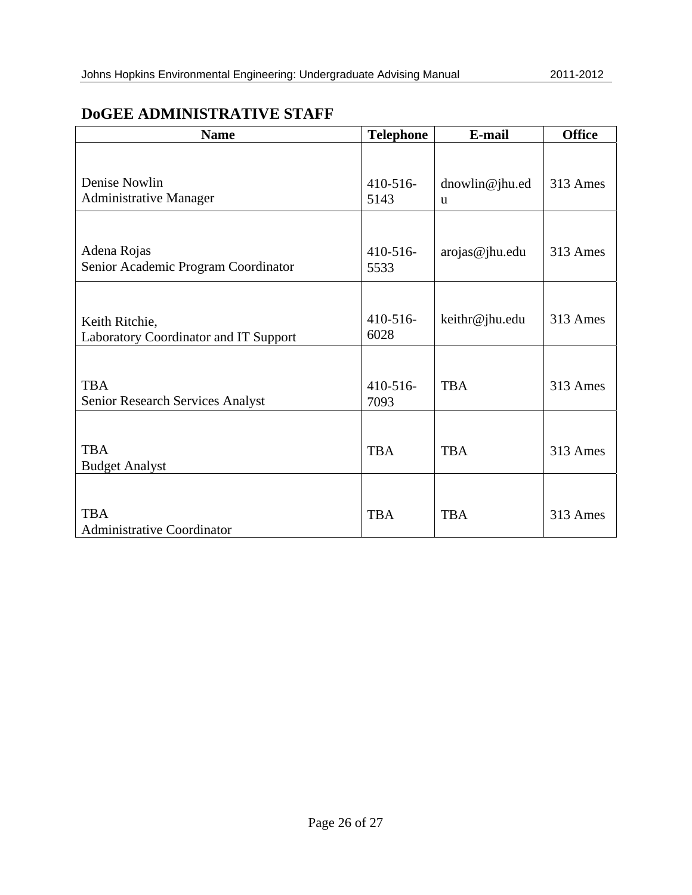## **DoGEE ADMINISTRATIVE STAFF**

| <b>Name</b>                                                    | <b>Telephone</b>    | E-mail                         | <b>Office</b> |  |
|----------------------------------------------------------------|---------------------|--------------------------------|---------------|--|
| Denise Nowlin<br><b>Administrative Manager</b>                 | $410 - 516$<br>5143 | dnowlin@jhu.ed<br>$\mathbf{u}$ | 313 Ames      |  |
| Adena Rojas<br>Senior Academic Program Coordinator             | $410 - 516$<br>5533 | arojas@jhu.edu                 | 313 Ames      |  |
| Keith Ritchie,<br><b>Laboratory Coordinator and IT Support</b> | $410 - 516$<br>6028 | keithr@jhu.edu                 | 313 Ames      |  |
| <b>TBA</b><br>Senior Research Services Analyst                 | $410 - 516$<br>7093 | <b>TBA</b>                     | 313 Ames      |  |
| <b>TBA</b><br><b>Budget Analyst</b>                            | <b>TBA</b>          | <b>TBA</b>                     | 313 Ames      |  |
| <b>TBA</b><br><b>Administrative Coordinator</b>                | <b>TBA</b>          | <b>TBA</b>                     | 313 Ames      |  |